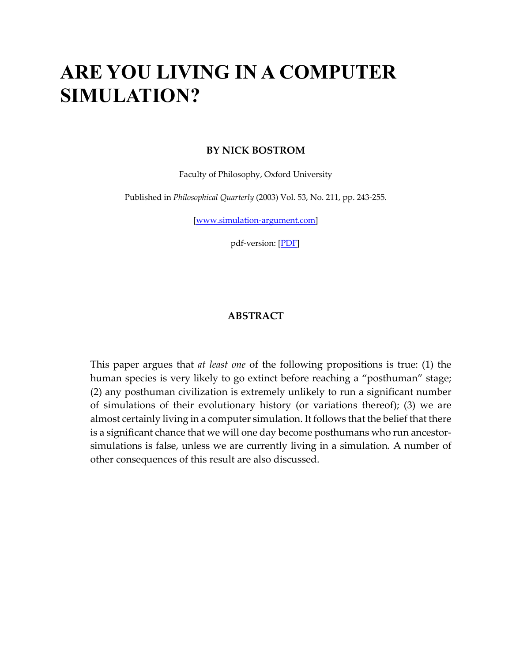# **ARE YOU LIVING IN A COMPUTER SIMULATION?**

#### **BY NICK BOSTROM**

Faculty of Philosophy, Oxford University

Published in *Philosophical Quarterly* (2003) Vol. 53, No. 211, pp. 243-255.

[\[www.simulation-argument.com\]](http://www.simulation-argument.com/)

pdf-version: [\[PDF\]](http://www.simulation-argument.com/simulation.pdf)

#### **ABSTRACT**

This paper argues that *at least one* of the following propositions is true: (1) the human species is very likely to go extinct before reaching a "posthuman" stage; (2) any posthuman civilization is extremely unlikely to run a significant number of simulations of their evolutionary history (or variations thereof); (3) we are almost certainly living in a computer simulation. It follows that the belief that there is a significant chance that we will one day become posthumans who run ancestorsimulations is false, unless we are currently living in a simulation. A number of other consequences of this result are also discussed.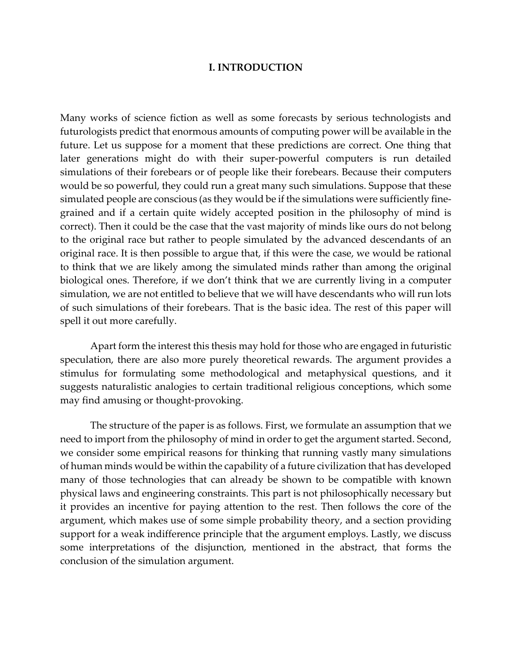#### **I. INTRODUCTION**

Many works of science fiction as well as some forecasts by serious technologists and futurologists predict that enormous amounts of computing power will be available in the future. Let us suppose for a moment that these predictions are correct. One thing that later generations might do with their super-powerful computers is run detailed simulations of their forebears or of people like their forebears. Because their computers would be so powerful, they could run a great many such simulations. Suppose that these simulated people are conscious (as they would be if the simulations were sufficiently finegrained and if a certain quite widely accepted position in the philosophy of mind is correct). Then it could be the case that the vast majority of minds like ours do not belong to the original race but rather to people simulated by the advanced descendants of an original race. It is then possible to argue that, if this were the case, we would be rational to think that we are likely among the simulated minds rather than among the original biological ones. Therefore, if we don't think that we are currently living in a computer simulation, we are not entitled to believe that we will have descendants who will run lots of such simulations of their forebears. That is the basic idea. The rest of this paper will spell it out more carefully.

Apart form the interest this thesis may hold for those who are engaged in futuristic speculation, there are also more purely theoretical rewards. The argument provides a stimulus for formulating some methodological and metaphysical questions, and it suggests naturalistic analogies to certain traditional religious conceptions, which some may find amusing or thought-provoking.

The structure of the paper is as follows. First, we formulate an assumption that we need to import from the philosophy of mind in order to get the argument started. Second, we consider some empirical reasons for thinking that running vastly many simulations of human minds would be within the capability of a future civilization that has developed many of those technologies that can already be shown to be compatible with known physical laws and engineering constraints. This part is not philosophically necessary but it provides an incentive for paying attention to the rest. Then follows the core of the argument, which makes use of some simple probability theory, and a section providing support for a weak indifference principle that the argument employs. Lastly, we discuss some interpretations of the disjunction, mentioned in the abstract, that forms the conclusion of the simulation argument.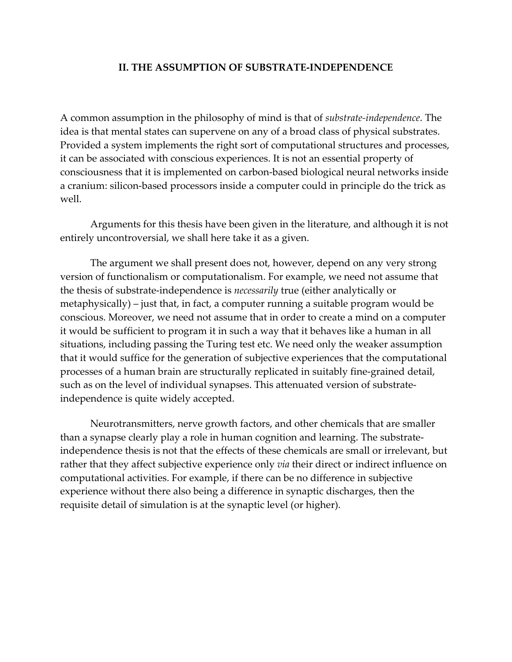# **II. THE ASSUMPTION OF SUBSTRATE-INDEPENDENCE**

A common assumption in the philosophy of mind is that of *substrate-independence*. The idea is that mental states can supervene on any of a broad class of physical substrates. Provided a system implements the right sort of computational structures and processes, it can be associated with conscious experiences. It is not an essential property of consciousness that it is implemented on carbon-based biological neural networks inside a cranium: silicon-based processors inside a computer could in principle do the trick as well.

Arguments for this thesis have been given in the literature, and although it is not entirely uncontroversial, we shall here take it as a given.

The argument we shall present does not, however, depend on any very strong version of functionalism or computationalism. For example, we need not assume that the thesis of substrate-independence is *necessarily* true (either analytically or metaphysically) – just that, in fact, a computer running a suitable program would be conscious. Moreover, we need not assume that in order to create a mind on a computer it would be sufficient to program it in such a way that it behaves like a human in all situations, including passing the Turing test etc. We need only the weaker assumption that it would suffice for the generation of subjective experiences that the computational processes of a human brain are structurally replicated in suitably fine-grained detail, such as on the level of individual synapses. This attenuated version of substrateindependence is quite widely accepted.

Neurotransmitters, nerve growth factors, and other chemicals that are smaller than a synapse clearly play a role in human cognition and learning. The substrateindependence thesis is not that the effects of these chemicals are small or irrelevant, but rather that they affect subjective experience only *via* their direct or indirect influence on computational activities. For example, if there can be no difference in subjective experience without there also being a difference in synaptic discharges, then the requisite detail of simulation is at the synaptic level (or higher).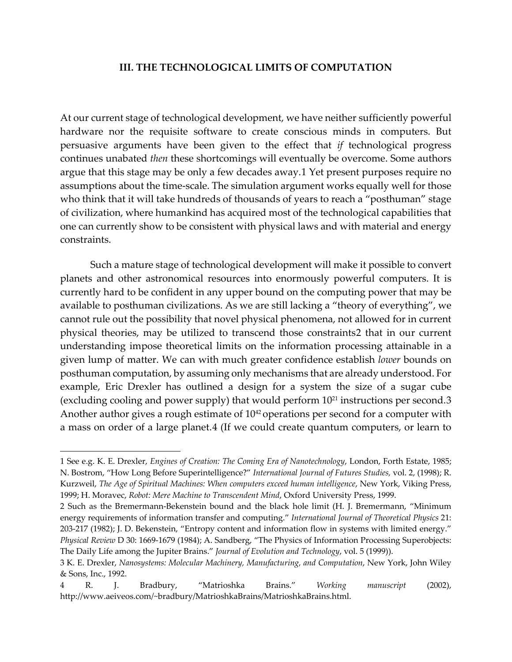# **III. THE TECHNOLOGICAL LIMITS OF COMPUTATION**

At our current stage of technological development, we have neither sufficiently powerful hardware nor the requisite software to create conscious minds in computers. But persuasive arguments have been given to the effect that *if* technological progress continues unabated *then* these shortcomings will eventually be overcome. Some authors argue that this stage may be only a few decades away.[1](#page-3-0) Yet present purposes require no assumptions about the time-scale. The simulation argument works equally well for those who think that it will take hundreds of thousands of years to reach a "posthuman" stage of civilization, where humankind has acquired most of the technological capabilities that one can currently show to be consistent with physical laws and with material and energy constraints.

Such a mature stage of technological development will make it possible to convert planets and other astronomical resources into enormously powerful computers. It is currently hard to be confident in any upper bound on the computing power that may be available to posthuman civilizations. As we are still lacking a "theory of everything", we cannot rule out the possibility that novel physical phenomena, not allowed for in current physical theories, may be utilized to transcend those constraints[2](#page-3-1) that in our current understanding impose theoretical limits on the information processing attainable in a given lump of matter. We can with much greater confidence establish *lower* bounds on posthuman computation, by assuming only mechanisms that are already understood. For example, Eric Drexler has outlined a design for a system the size of a sugar cube (excluding cooling and power supply) that would perform  $10^{21}$  instructions per second. [3](#page-3-2) Another author gives a rough estimate of 10<sup>42</sup> operations per second for a computer with a mass on order of a large planet.[4](#page-3-3) (If we could create quantum computers, or learn to

<span id="page-3-0"></span><sup>1</sup> See e.g. K. E. Drexler, *Engines of Creation: The Coming Era of Nanotechnology*, London, Forth Estate, 1985; N. Bostrom, "How Long Before Superintelligence?" *International Journal of Futures Studies,* vol. 2, (1998); R. Kurzweil, *The Age of Spiritual Machines: When computers exceed human intelligence*, New York, Viking Press, 1999; H. Moravec, *Robot: Mere Machine to Transcendent Mind*, Oxford University Press, 1999.

<span id="page-3-1"></span><sup>2</sup> Such as the Bremermann-Bekenstein bound and the black hole limit (H. J. Bremermann, "Minimum energy requirements of information transfer and computing." *International Journal of Theoretical Physics* 21: 203-217 (1982); J. D. Bekenstein, "Entropy content and information flow in systems with limited energy." *Physical Review* D 30: 1669-1679 (1984); A. Sandberg, "The Physics of Information Processing Superobjects: The Daily Life among the Jupiter Brains." *Journal of Evolution and Technology*, vol. 5 (1999)).

<span id="page-3-2"></span><sup>3</sup> K. E. Drexler, *Nanosystems: Molecular Machinery, Manufacturing, and Computation*, New York, John Wiley & Sons, Inc., 1992.

<span id="page-3-3"></span><sup>4</sup> R. J. Bradbury, "Matrioshka Brains." *Working manuscript* (2002), http://www.aeiveos.com/~bradbury/MatrioshkaBrains/MatrioshkaBrains.html.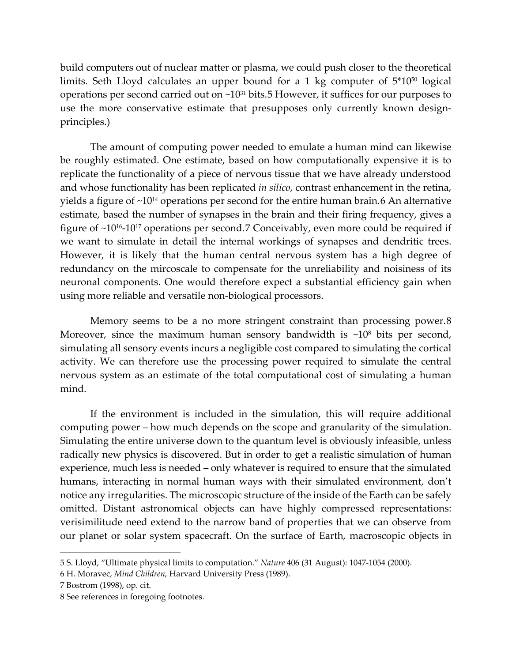build computers out of nuclear matter or plasma, we could push closer to the theoretical limits. Seth Lloyd calculates an upper bound for a 1 kg computer of  $5*10^{50}$  logical operations per second carried out on ~1031 bits.[5](#page-4-0) However, it suffices for our purposes to use the more conservative estimate that presupposes only currently known designprinciples.)

The amount of computing power needed to emulate a human mind can likewise be roughly estimated. One estimate, based on how computationally expensive it is to replicate the functionality of a piece of nervous tissue that we have already understood and whose functionality has been replicated *in silico*, contrast enhancement in the retina, yields a figure of  $~10^{14}$  operations per second for the entire human brain.[6](#page-4-1) An alternative estimate, based the number of synapses in the brain and their firing frequency, gives a figure of ~1016-1017 operations per second.[7](#page-4-2) Conceivably, even more could be required if we want to simulate in detail the internal workings of synapses and dendritic trees. However, it is likely that the human central nervous system has a high degree of redundancy on the mircoscale to compensate for the unreliability and noisiness of its neuronal components. One would therefore expect a substantial efficiency gain when using more reliable and versatile non-biological processors.

Memory seems to be a no more stringent constraint than processing power.[8](#page-4-3) Moreover, since the maximum human sensory bandwidth is  $~10^8$  bits per second, simulating all sensory events incurs a negligible cost compared to simulating the cortical activity. We can therefore use the processing power required to simulate the central nervous system as an estimate of the total computational cost of simulating a human mind.

If the environment is included in the simulation, this will require additional computing power – how much depends on the scope and granularity of the simulation. Simulating the entire universe down to the quantum level is obviously infeasible, unless radically new physics is discovered. But in order to get a realistic simulation of human experience, much less is needed – only whatever is required to ensure that the simulated humans, interacting in normal human ways with their simulated environment, don't notice any irregularities. The microscopic structure of the inside of the Earth can be safely omitted. Distant astronomical objects can have highly compressed representations: verisimilitude need extend to the narrow band of properties that we can observe from our planet or solar system spacecraft. On the surface of Earth, macroscopic objects in

<span id="page-4-0"></span><sup>5</sup> S. Lloyd, "Ultimate physical limits to computation." *Nature* 406 (31 August): 1047-1054 (2000).

<span id="page-4-1"></span><sup>6</sup> H. Moravec, *Mind Children*, Harvard University Press (1989).

<span id="page-4-2"></span><sup>7</sup> Bostrom (1998), op. cit.

<span id="page-4-3"></span><sup>8</sup> See references in foregoing footnotes.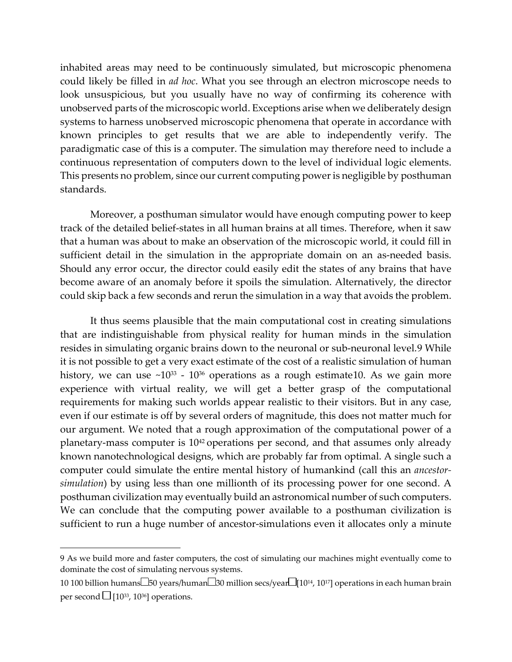inhabited areas may need to be continuously simulated, but microscopic phenomena could likely be filled in *ad hoc*. What you see through an electron microscope needs to look unsuspicious, but you usually have no way of confirming its coherence with unobserved parts of the microscopic world. Exceptions arise when we deliberately design systems to harness unobserved microscopic phenomena that operate in accordance with known principles to get results that we are able to independently verify. The paradigmatic case of this is a computer. The simulation may therefore need to include a continuous representation of computers down to the level of individual logic elements. This presents no problem, since our current computing power is negligible by posthuman standards.

Moreover, a posthuman simulator would have enough computing power to keep track of the detailed belief-states in all human brains at all times. Therefore, when it saw that a human was about to make an observation of the microscopic world, it could fill in sufficient detail in the simulation in the appropriate domain on an as-needed basis. Should any error occur, the director could easily edit the states of any brains that have become aware of an anomaly before it spoils the simulation. Alternatively, the director could skip back a few seconds and rerun the simulation in a way that avoids the problem.

It thus seems plausible that the main computational cost in creating simulations that are indistinguishable from physical reality for human minds in the simulation resides in simulating organic brains down to the neuronal or sub-neuronal level.[9](#page-5-0) While it is not possible to get a very exact estimate of the cost of a realistic simulation of human history, we can use  $~10^{33}$  $~10^{33}$  $~10^{33}$  -  $10^{36}$  operations as a rough estimate 10. As we gain more experience with virtual reality, we will get a better grasp of the computational requirements for making such worlds appear realistic to their visitors. But in any case, even if our estimate is off by several orders of magnitude, this does not matter much for our argument. We noted that a rough approximation of the computational power of a planetary-mass computer is 1042 operations per second, and that assumes only already known nanotechnological designs, which are probably far from optimal. A single such a computer could simulate the entire mental history of humankind (call this an *ancestorsimulation*) by using less than one millionth of its processing power for one second. A posthuman civilization may eventually build an astronomical number of such computers. We can conclude that the computing power available to a posthuman civilization is sufficient to run a huge number of ancestor-simulations even it allocates only a minute

<span id="page-5-0"></span><sup>9</sup> As we build more and faster computers, the cost of simulating our machines might eventually come to dominate the cost of simulating nervous systems.

<span id="page-5-1"></span><sup>10 100</sup> billion humans 50 years/human 30 million secs/year  $\Box$  [10<sup>14</sup>, 10<sup>17</sup>] operations in each human brain per second  $\Box$  [10<sup>33</sup>, 10<sup>36</sup>] operations.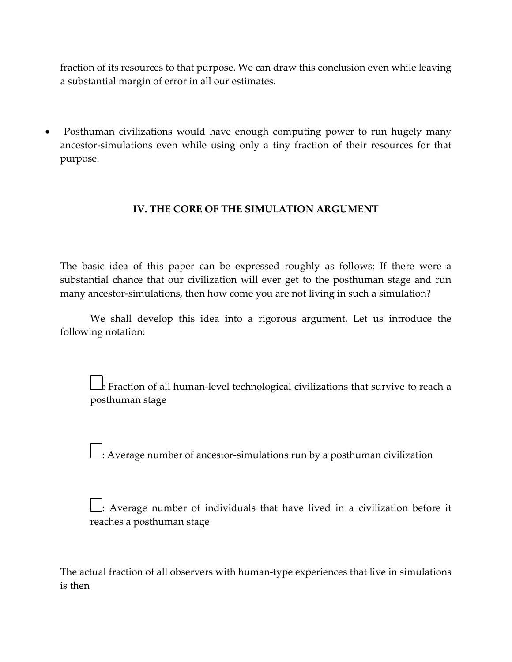fraction of its resources to that purpose. We can draw this conclusion even while leaving a substantial margin of error in all our estimates.

• Posthuman civilizations would have enough computing power to run hugely many ancestor-simulations even while using only a tiny fraction of their resources for that purpose.

# **IV. THE CORE OF THE SIMULATION ARGUMENT**

The basic idea of this paper can be expressed roughly as follows: If there were a substantial chance that our civilization will ever get to the posthuman stage and run many ancestor-simulations, then how come you are not living in such a simulation?

We shall develop this idea into a rigorous argument. Let us introduce the following notation:

 $\perp$ : Fraction of all human-level technological civilizations that survive to reach a posthuman stage

 $\Box$ : Average number of ancestor-simulations run by a posthuman civilization

 $\Box$ : Average number of individuals that have lived in a civilization before it reaches a posthuman stage

The actual fraction of all observers with human-type experiences that live in simulations is then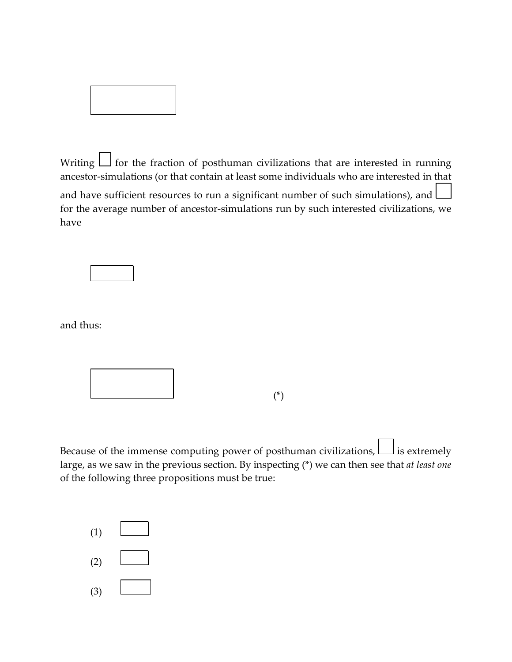

Writing  $\Box$  for the fraction of posthuman civilizations that are interested in running ancestor-simulations (or that contain at least some individuals who are interested in that

and have sufficient resources to run a significant number of such simulations), and  $L$ for the average number of ancestor-simulations run by such interested civilizations, we have



and thus:

(\*)

Because of the immense computing power of posthuman civilizations,  $\Box$  is extremely large, as we saw in the previous section. By inspecting (\*) we can then see that *at least one* of the following three propositions must be true:

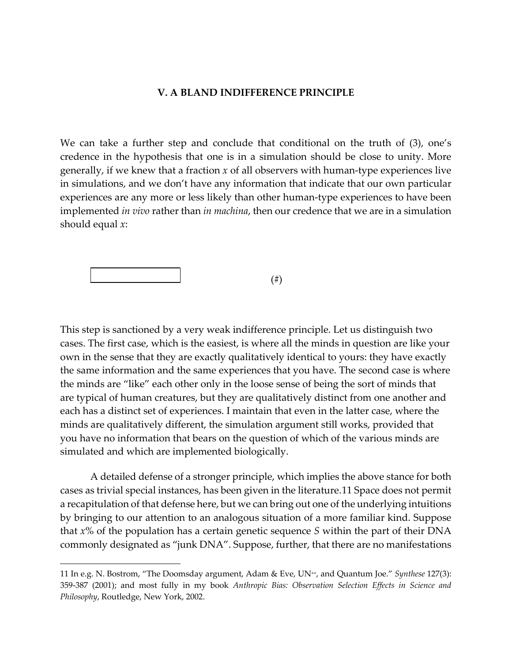#### **V. A BLAND INDIFFERENCE PRINCIPLE**

We can take a further step and conclude that conditional on the truth of (3), one's credence in the hypothesis that one is in a simulation should be close to unity. More generally, if we knew that a fraction *x* of all observers with human-type experiences live in simulations, and we don't have any information that indicate that our own particular experiences are any more or less likely than other human-type experiences to have been implemented *in vivo* rather than *in machina*, then our credence that we are in a simulation should equal *x*:

(#)

 $\overline{a}$ 

This step is sanctioned by a very weak indifference principle. Let us distinguish two cases. The first case, which is the easiest, is where all the minds in question are like your own in the sense that they are exactly qualitatively identical to yours: they have exactly the same information and the same experiences that you have. The second case is where the minds are "like" each other only in the loose sense of being the sort of minds that are typical of human creatures, but they are qualitatively distinct from one another and each has a distinct set of experiences. I maintain that even in the latter case, where the minds are qualitatively different, the simulation argument still works, provided that you have no information that bears on the question of which of the various minds are simulated and which are implemented biologically.

A detailed defense of a stronger principle, which implies the above stance for both cases as trivial special instances, has been given in the literature.[11](#page-8-0) Space does not permit a recapitulation of that defense here, but we can bring out one of the underlying intuitions by bringing to our attention to an analogous situation of a more familiar kind. Suppose that *x*% of the population has a certain genetic sequence *S* within the part of their DNA commonly designated as "junk DNA". Suppose, further, that there are no manifestations

<span id="page-8-0"></span><sup>11</sup> In e.g. N. Bostrom, "The Doomsday argument, Adam & Eve, UN++, and Quantum Joe." *Synthese* 127(3): 359-387 (2001); and most fully in my book *Anthropic Bias: Observation Selection Effects in Science and Philosophy*, Routledge, New York, 2002.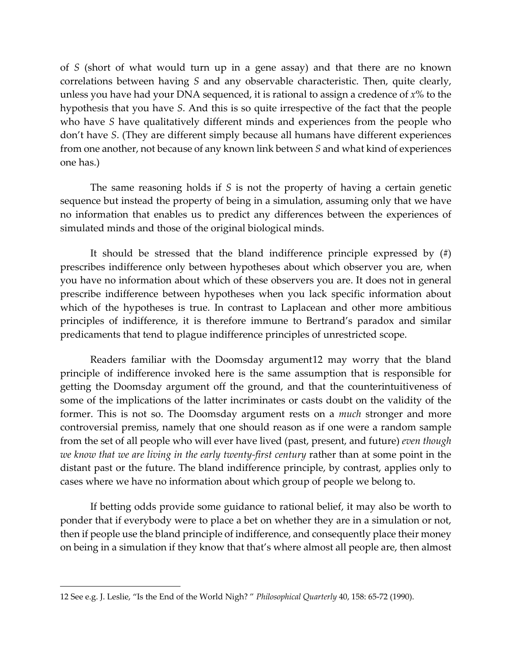of *S* (short of what would turn up in a gene assay) and that there are no known correlations between having *S* and any observable characteristic. Then, quite clearly, unless you have had your DNA sequenced, it is rational to assign a credence of *x*% to the hypothesis that you have *S*. And this is so quite irrespective of the fact that the people who have *S* have qualitatively different minds and experiences from the people who don't have *S*. (They are different simply because all humans have different experiences from one another, not because of any known link between *S* and what kind of experiences one has.)

The same reasoning holds if *S* is not the property of having a certain genetic sequence but instead the property of being in a simulation, assuming only that we have no information that enables us to predict any differences between the experiences of simulated minds and those of the original biological minds.

It should be stressed that the bland indifference principle expressed by  $(\#)$ prescribes indifference only between hypotheses about which observer you are, when you have no information about which of these observers you are. It does not in general prescribe indifference between hypotheses when you lack specific information about which of the hypotheses is true. In contrast to Laplacean and other more ambitious principles of indifference, it is therefore immune to Bertrand's paradox and similar predicaments that tend to plague indifference principles of unrestricted scope.

Readers familiar with the Doomsday argument[12](#page-9-0) may worry that the bland principle of indifference invoked here is the same assumption that is responsible for getting the Doomsday argument off the ground, and that the counterintuitiveness of some of the implications of the latter incriminates or casts doubt on the validity of the former. This is not so. The Doomsday argument rests on a *much* stronger and more controversial premiss, namely that one should reason as if one were a random sample from the set of all people who will ever have lived (past, present, and future) *even though we know that we are living in the early twenty-first century* rather than at some point in the distant past or the future. The bland indifference principle, by contrast, applies only to cases where we have no information about which group of people we belong to.

If betting odds provide some guidance to rational belief, it may also be worth to ponder that if everybody were to place a bet on whether they are in a simulation or not, then if people use the bland principle of indifference, and consequently place their money on being in a simulation if they know that that's where almost all people are, then almost

<span id="page-9-0"></span><sup>12</sup> See e.g. J. Leslie, "Is the End of the World Nigh? " *Philosophical Quarterly* 40, 158: 65-72 (1990).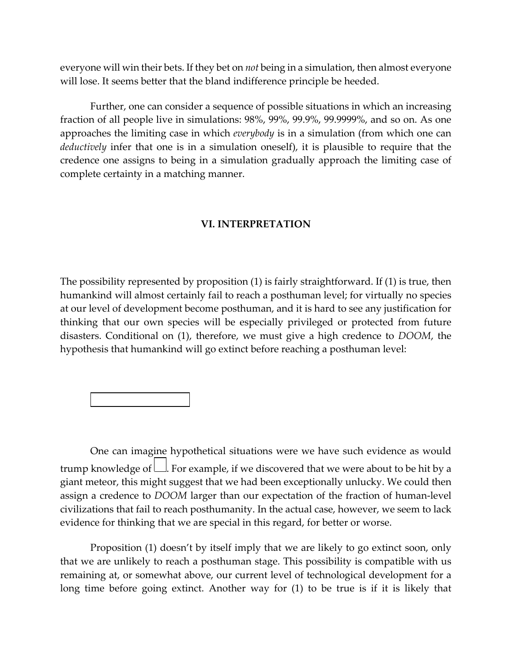everyone will win their bets. If they bet on *not* being in a simulation, then almost everyone will lose. It seems better that the bland indifference principle be heeded.

Further, one can consider a sequence of possible situations in which an increasing fraction of all people live in simulations: 98%, 99%, 99.9%, 99.9999%, and so on. As one approaches the limiting case in which *everybody* is in a simulation (from which one can *deductively* infer that one is in a simulation oneself), it is plausible to require that the credence one assigns to being in a simulation gradually approach the limiting case of complete certainty in a matching manner.

### **VI. INTERPRETATION**

The possibility represented by proposition (1) is fairly straightforward. If (1) is true, then humankind will almost certainly fail to reach a posthuman level; for virtually no species at our level of development become posthuman, and it is hard to see any justification for thinking that our own species will be especially privileged or protected from future disasters. Conditional on (1), therefore, we must give a high credence to *DOOM*, the hypothesis that humankind will go extinct before reaching a posthuman level:

One can imagine hypothetical situations were we have such evidence as would trump knowledge of  $\Box$ . For example, if we discovered that we were about to be hit by a giant meteor, this might suggest that we had been exceptionally unlucky. We could then assign a credence to *DOOM* larger than our expectation of the fraction of human-level civilizations that fail to reach posthumanity. In the actual case, however, we seem to lack evidence for thinking that we are special in this regard, for better or worse.

Proposition (1) doesn't by itself imply that we are likely to go extinct soon, only that we are unlikely to reach a posthuman stage. This possibility is compatible with us remaining at, or somewhat above, our current level of technological development for a long time before going extinct. Another way for (1) to be true is if it is likely that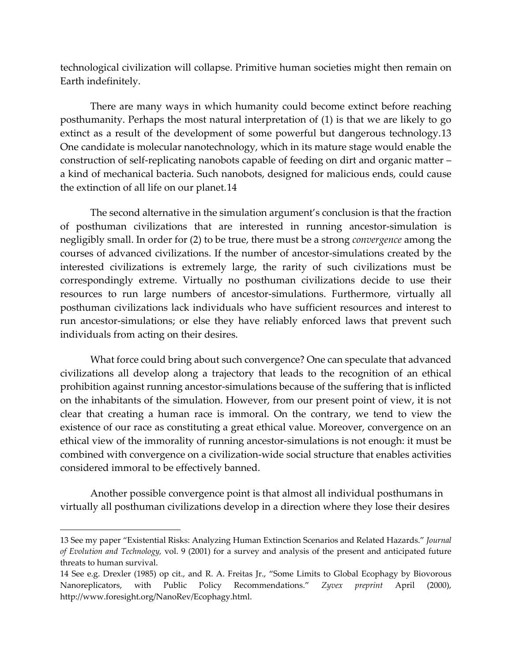technological civilization will collapse. Primitive human societies might then remain on Earth indefinitely.

There are many ways in which humanity could become extinct before reaching posthumanity. Perhaps the most natural interpretation of (1) is that we are likely to go extinct as a result of the development of some powerful but dangerous technology.[13](#page-11-0) One candidate is molecular nanotechnology, which in its mature stage would enable the construction of self-replicating nanobots capable of feeding on dirt and organic matter – a kind of mechanical bacteria. Such nanobots, designed for malicious ends, could cause the extinction of all life on our planet.[14](#page-11-1)

The second alternative in the simulation argument's conclusion is that the fraction of posthuman civilizations that are interested in running ancestor-simulation is negligibly small. In order for (2) to be true, there must be a strong *convergence* among the courses of advanced civilizations. If the number of ancestor-simulations created by the interested civilizations is extremely large, the rarity of such civilizations must be correspondingly extreme. Virtually no posthuman civilizations decide to use their resources to run large numbers of ancestor-simulations. Furthermore, virtually all posthuman civilizations lack individuals who have sufficient resources and interest to run ancestor-simulations; or else they have reliably enforced laws that prevent such individuals from acting on their desires.

What force could bring about such convergence? One can speculate that advanced civilizations all develop along a trajectory that leads to the recognition of an ethical prohibition against running ancestor-simulations because of the suffering that is inflicted on the inhabitants of the simulation. However, from our present point of view, it is not clear that creating a human race is immoral. On the contrary, we tend to view the existence of our race as constituting a great ethical value. Moreover, convergence on an ethical view of the immorality of running ancestor-simulations is not enough: it must be combined with convergence on a civilization-wide social structure that enables activities considered immoral to be effectively banned.

Another possible convergence point is that almost all individual posthumans in virtually all posthuman civilizations develop in a direction where they lose their desires

<span id="page-11-0"></span><sup>13</sup> See my paper "Existential Risks: Analyzing Human Extinction Scenarios and Related Hazards." *Journal of Evolution and Technology,* vol. 9 (2001) for a survey and analysis of the present and anticipated future threats to human survival.

<span id="page-11-1"></span><sup>14</sup> See e.g. Drexler (1985) op cit., and R. A. Freitas Jr., "Some Limits to Global Ecophagy by Biovorous Nanoreplicators, with Public Policy Recommendations." *Zyvex preprint* April (2000), http://www.foresight.org/NanoRev/Ecophagy.html.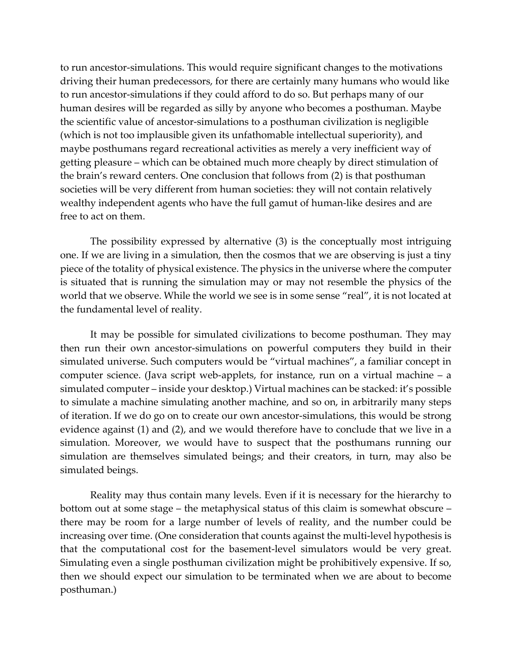to run ancestor-simulations. This would require significant changes to the motivations driving their human predecessors, for there are certainly many humans who would like to run ancestor-simulations if they could afford to do so. But perhaps many of our human desires will be regarded as silly by anyone who becomes a posthuman. Maybe the scientific value of ancestor-simulations to a posthuman civilization is negligible (which is not too implausible given its unfathomable intellectual superiority), and maybe posthumans regard recreational activities as merely a very inefficient way of getting pleasure – which can be obtained much more cheaply by direct stimulation of the brain's reward centers. One conclusion that follows from (2) is that posthuman societies will be very different from human societies: they will not contain relatively wealthy independent agents who have the full gamut of human-like desires and are free to act on them.

The possibility expressed by alternative (3) is the conceptually most intriguing one. If we are living in a simulation, then the cosmos that we are observing is just a tiny piece of the totality of physical existence. The physics in the universe where the computer is situated that is running the simulation may or may not resemble the physics of the world that we observe. While the world we see is in some sense "real", it is not located at the fundamental level of reality.

It may be possible for simulated civilizations to become posthuman. They may then run their own ancestor-simulations on powerful computers they build in their simulated universe. Such computers would be "virtual machines", a familiar concept in computer science. (Java script web-applets, for instance, run on a virtual machine – a simulated computer – inside your desktop.) Virtual machines can be stacked: it's possible to simulate a machine simulating another machine, and so on, in arbitrarily many steps of iteration. If we do go on to create our own ancestor-simulations, this would be strong evidence against (1) and (2), and we would therefore have to conclude that we live in a simulation. Moreover, we would have to suspect that the posthumans running our simulation are themselves simulated beings; and their creators, in turn, may also be simulated beings.

Reality may thus contain many levels. Even if it is necessary for the hierarchy to bottom out at some stage – the metaphysical status of this claim is somewhat obscure – there may be room for a large number of levels of reality, and the number could be increasing over time. (One consideration that counts against the multi-level hypothesis is that the computational cost for the basement-level simulators would be very great. Simulating even a single posthuman civilization might be prohibitively expensive. If so, then we should expect our simulation to be terminated when we are about to become posthuman.)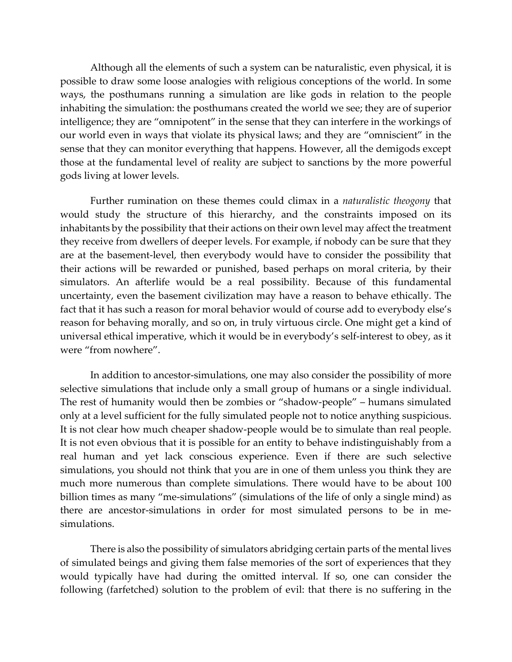Although all the elements of such a system can be naturalistic, even physical, it is possible to draw some loose analogies with religious conceptions of the world. In some ways, the posthumans running a simulation are like gods in relation to the people inhabiting the simulation: the posthumans created the world we see; they are of superior intelligence; they are "omnipotent" in the sense that they can interfere in the workings of our world even in ways that violate its physical laws; and they are "omniscient" in the sense that they can monitor everything that happens. However, all the demigods except those at the fundamental level of reality are subject to sanctions by the more powerful gods living at lower levels.

Further rumination on these themes could climax in a *naturalistic theogony* that would study the structure of this hierarchy, and the constraints imposed on its inhabitants by the possibility that their actions on their own level may affect the treatment they receive from dwellers of deeper levels. For example, if nobody can be sure that they are at the basement-level, then everybody would have to consider the possibility that their actions will be rewarded or punished, based perhaps on moral criteria, by their simulators. An afterlife would be a real possibility. Because of this fundamental uncertainty, even the basement civilization may have a reason to behave ethically. The fact that it has such a reason for moral behavior would of course add to everybody else's reason for behaving morally, and so on, in truly virtuous circle. One might get a kind of universal ethical imperative, which it would be in everybody's self-interest to obey, as it were "from nowhere".

In addition to ancestor-simulations, one may also consider the possibility of more selective simulations that include only a small group of humans or a single individual. The rest of humanity would then be zombies or "shadow-people" – humans simulated only at a level sufficient for the fully simulated people not to notice anything suspicious. It is not clear how much cheaper shadow-people would be to simulate than real people. It is not even obvious that it is possible for an entity to behave indistinguishably from a real human and yet lack conscious experience. Even if there are such selective simulations, you should not think that you are in one of them unless you think they are much more numerous than complete simulations. There would have to be about 100 billion times as many "me-simulations" (simulations of the life of only a single mind) as there are ancestor-simulations in order for most simulated persons to be in mesimulations.

There is also the possibility of simulators abridging certain parts of the mental lives of simulated beings and giving them false memories of the sort of experiences that they would typically have had during the omitted interval. If so, one can consider the following (farfetched) solution to the problem of evil: that there is no suffering in the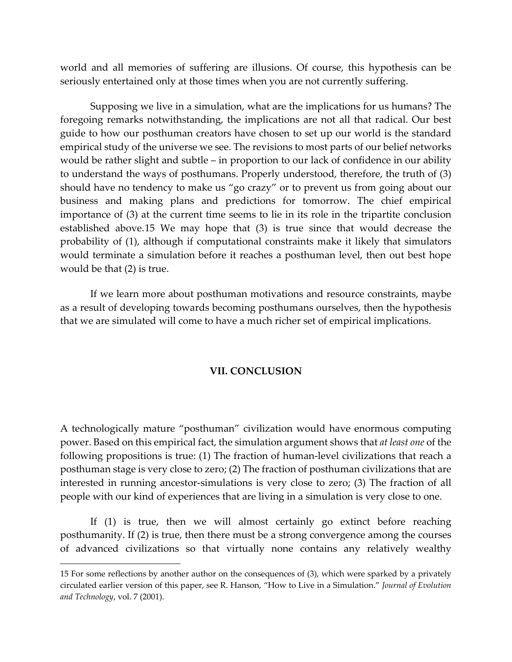world and all memories of suffering are illusions. Of course, this hypothesis can be seriously entertained only at those times when you are not currently suffering.

Supposing we live in a simulation, what are the implications for us humans? The foregoing remarks notwithstanding, the implications are not all that radical. Our best guide to how our posthuman creators have chosen to set up our world is the standard empirical study of the universe we see. The revisions to most parts of our belief networks would be rather slight and subtle – in proportion to our lack of confidence in our ability to understand the ways of posthumans. Properly understood, therefore, the truth of (3) should have no tendency to make us "go crazy" or to prevent us from going about our business and making plans and predictions for tomorrow. The chief empirical importance of (3) at the current time seems to lie in its role in the tripartite conclusion established above.[15](#page-14-0) We may hope that (3) is true since that would decrease the probability of (1), although if computational constraints make it likely that simulators would terminate a simulation before it reaches a posthuman level, then out best hope would be that (2) is true.

If we learn more about posthuman motivations and resource constraints, maybe as a result of developing towards becoming posthumans ourselves, then the hypothesis that we are simulated will come to have a much richer set of empirical implications.

#### **VII. CONCLUSION**

A technologically mature "posthuman" civilization would have enormous computing power. Based on this empirical fact, the simulation argument shows that *at least one* of the following propositions is true: (1) The fraction of human-level civilizations that reach a posthuman stage is very close to zero; (2) The fraction of posthuman civilizations that are interested in running ancestor-simulations is very close to zero; (3) The fraction of all people with our kind of experiences that are living in a simulation is very close to one.

If (1) is true, then we will almost certainly go extinct before reaching posthumanity. If (2) is true, then there must be a strong convergence among the courses of advanced civilizations so that virtually none contains any relatively wealthy

<span id="page-14-0"></span><sup>15</sup> For some reflections by another author on the consequences of (3), which were sparked by a privately circulated earlier version of this paper, see R. Hanson, "How to Live in a Simulation." *Journal of Evolution and Technology*, vol. 7 (2001).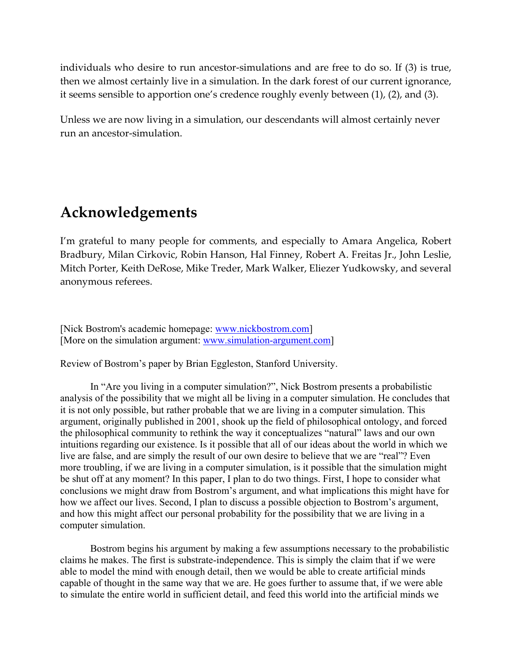individuals who desire to run ancestor-simulations and are free to do so. If (3) is true, then we almost certainly live in a simulation. In the dark forest of our current ignorance, it seems sensible to apportion one's credence roughly evenly between (1), (2), and (3).

Unless we are now living in a simulation, our descendants will almost certainly never run an ancestor-simulation.

# **Acknowledgements**

I'm grateful to many people for comments, and especially to Amara Angelica, Robert Bradbury, Milan Cirkovic, Robin Hanson, Hal Finney, Robert A. Freitas Jr., John Leslie, Mitch Porter, Keith DeRose, Mike Treder, Mark Walker, Eliezer Yudkowsky, and several anonymous referees.

[Nick Bostrom's academic homepage: [www.nickbostrom.com\]](http://www.nickbostrom.com/) [More on the simulation argument: [www.simulation-argument.com\]](http://www.simulation-argument.com/)

Review of Bostrom's paper by Brian Eggleston, Stanford University.

 In "Are you living in a computer simulation?", Nick Bostrom presents a probabilistic analysis of the possibility that we might all be living in a computer simulation. He concludes that it is not only possible, but rather probable that we are living in a computer simulation. This argument, originally published in 2001, shook up the field of philosophical ontology, and forced the philosophical community to rethink the way it conceptualizes "natural" laws and our own intuitions regarding our existence. Is it possible that all of our ideas about the world in which we live are false, and are simply the result of our own desire to believe that we are "real"? Even more troubling, if we are living in a computer simulation, is it possible that the simulation might be shut off at any moment? In this paper, I plan to do two things. First, I hope to consider what conclusions we might draw from Bostrom's argument, and what implications this might have for how we affect our lives. Second, I plan to discuss a possible objection to Bostrom's argument, and how this might affect our personal probability for the possibility that we are living in a computer simulation.

 Bostrom begins his argument by making a few assumptions necessary to the probabilistic claims he makes. The first is substrate-independence. This is simply the claim that if we were able to model the mind with enough detail, then we would be able to create artificial minds capable of thought in the same way that we are. He goes further to assume that, if we were able to simulate the entire world in sufficient detail, and feed this world into the artificial minds we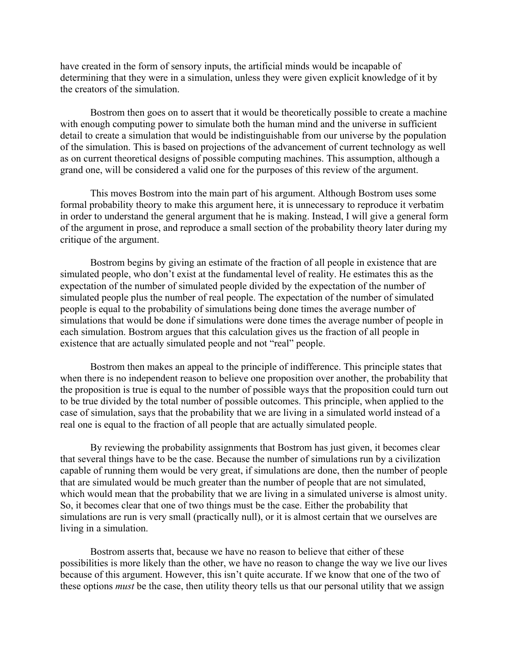have created in the form of sensory inputs, the artificial minds would be incapable of determining that they were in a simulation, unless they were given explicit knowledge of it by the creators of the simulation.

 Bostrom then goes on to assert that it would be theoretically possible to create a machine with enough computing power to simulate both the human mind and the universe in sufficient detail to create a simulation that would be indistinguishable from our universe by the population of the simulation. This is based on projections of the advancement of current technology as well as on current theoretical designs of possible computing machines. This assumption, although a grand one, will be considered a valid one for the purposes of this review of the argument.

 This moves Bostrom into the main part of his argument. Although Bostrom uses some formal probability theory to make this argument here, it is unnecessary to reproduce it verbatim in order to understand the general argument that he is making. Instead, I will give a general form of the argument in prose, and reproduce a small section of the probability theory later during my critique of the argument.

 Bostrom begins by giving an estimate of the fraction of all people in existence that are simulated people, who don't exist at the fundamental level of reality. He estimates this as the expectation of the number of simulated people divided by the expectation of the number of simulated people plus the number of real people. The expectation of the number of simulated people is equal to the probability of simulations being done times the average number of simulations that would be done if simulations were done times the average number of people in each simulation. Bostrom argues that this calculation gives us the fraction of all people in existence that are actually simulated people and not "real" people.

 Bostrom then makes an appeal to the principle of indifference. This principle states that when there is no independent reason to believe one proposition over another, the probability that the proposition is true is equal to the number of possible ways that the proposition could turn out to be true divided by the total number of possible outcomes. This principle, when applied to the case of simulation, says that the probability that we are living in a simulated world instead of a real one is equal to the fraction of all people that are actually simulated people.

 By reviewing the probability assignments that Bostrom has just given, it becomes clear that several things have to be the case. Because the number of simulations run by a civilization capable of running them would be very great, if simulations are done, then the number of people that are simulated would be much greater than the number of people that are not simulated, which would mean that the probability that we are living in a simulated universe is almost unity. So, it becomes clear that one of two things must be the case. Either the probability that simulations are run is very small (practically null), or it is almost certain that we ourselves are living in a simulation.

 Bostrom asserts that, because we have no reason to believe that either of these possibilities is more likely than the other, we have no reason to change the way we live our lives because of this argument. However, this isn't quite accurate. If we know that one of the two of these options *must* be the case, then utility theory tells us that our personal utility that we assign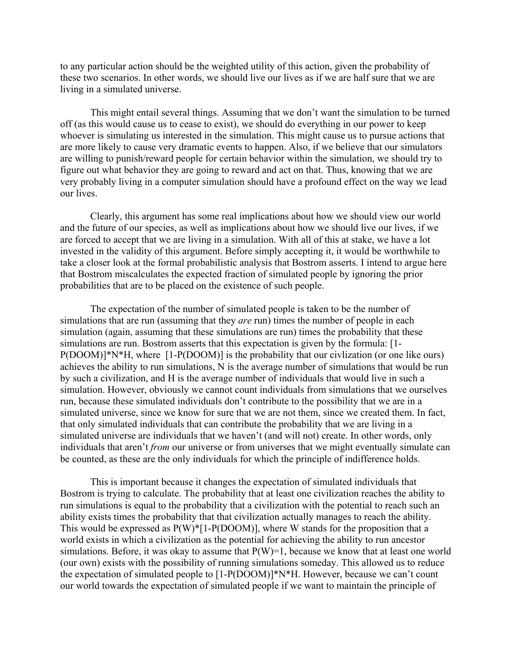to any particular action should be the weighted utility of this action, given the probability of these two scenarios. In other words, we should live our lives as if we are half sure that we are living in a simulated universe.

 This might entail several things. Assuming that we don't want the simulation to be turned off (as this would cause us to cease to exist), we should do everything in our power to keep whoever is simulating us interested in the simulation. This might cause us to pursue actions that are more likely to cause very dramatic events to happen. Also, if we believe that our simulators are willing to punish/reward people for certain behavior within the simulation, we should try to figure out what behavior they are going to reward and act on that. Thus, knowing that we are very probably living in a computer simulation should have a profound effect on the way we lead our lives.

 Clearly, this argument has some real implications about how we should view our world and the future of our species, as well as implications about how we should live our lives, if we are forced to accept that we are living in a simulation. With all of this at stake, we have a lot invested in the validity of this argument. Before simply accepting it, it would be worthwhile to take a closer look at the formal probabilistic analysis that Bostrom asserts. I intend to argue here that Bostrom miscalculates the expected fraction of simulated people by ignoring the prior probabilities that are to be placed on the existence of such people.

 The expectation of the number of simulated people is taken to be the number of simulations that are run (assuming that they *are* run) times the number of people in each simulation (again, assuming that these simulations are run) times the probability that these simulations are run. Bostrom asserts that this expectation is given by the formula: [1- P(DOOM)]\*N\*H, where [1-P(DOOM)] is the probability that our civlization (or one like ours) achieves the ability to run simulations, N is the average number of simulations that would be run by such a civilization, and H is the average number of individuals that would live in such a simulation. However, obviously we cannot count individuals from simulations that we ourselves run, because these simulated individuals don't contribute to the possibility that we are in a simulated universe, since we know for sure that we are not them, since we created them. In fact, that only simulated individuals that can contribute the probability that we are living in a simulated universe are individuals that we haven't (and will not) create. In other words, only individuals that aren't *from* our universe or from universes that we might eventually simulate can be counted, as these are the only individuals for which the principle of indifference holds.

 This is important because it changes the expectation of simulated individuals that Bostrom is trying to calculate. The probability that at least one civilization reaches the ability to run simulations is equal to the probability that a civilization with the potential to reach such an ability exists times the probability that that civilization actually manages to reach the ability. This would be expressed as  $P(W)^*[1-P(DOOM)]$ , where W stands for the proposition that a world exists in which a civilization as the potential for achieving the ability to run ancestor simulations. Before, it was okay to assume that  $P(W)=1$ , because we know that at least one world (our own) exists with the possibility of running simulations someday. This allowed us to reduce the expectation of simulated people to [1-P(DOOM)]\*N\*H. However, because we can't count our world towards the expectation of simulated people if we want to maintain the principle of